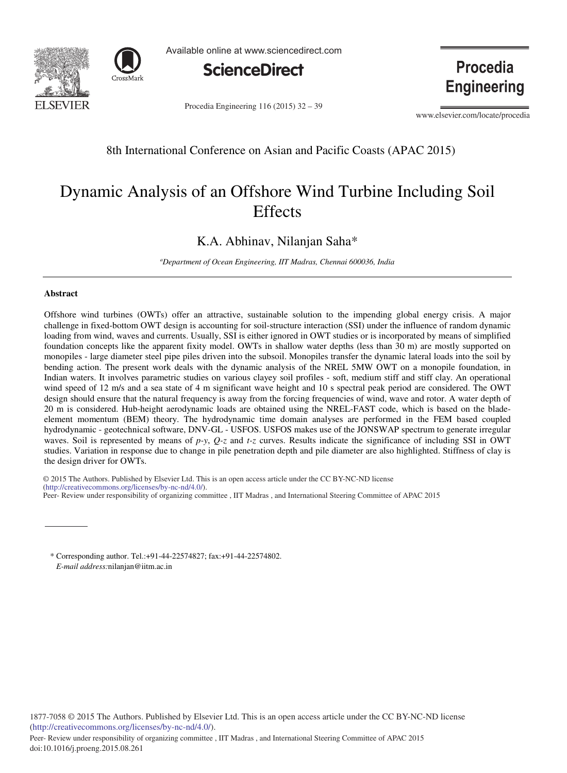



Available online at www.sciencedirect.com



Procedia Engineering 116 (2015) 32 - 39

**Procedia Engineering** 

www.elsevier.com/locate/procedia

# 8th International Conference on Asian and Pacific Coasts (APAC 2015)

# Dynamic Analysis of an Offshore Wind Turbine Including Soil **Effects**

K.A. Abhinav, Nilanjan Saha\*

*a Department of Ocean Engineering, IIT Madras, Chennai 600036, India*

## **Abstract**

doi: 10.1016/j.proeng.2015.08.261

Offshore wind turbines (OWTs) offer an attractive, sustainable solution to the impending global energy crisis. A major challenge in fixed-bottom OWT design is accounting for soil-structure interaction (SSI) under the influence of random dynamic loading from wind, waves and currents. Usually, SSI is either ignored in OWT studies or is incorporated by means of simplified foundation concepts like the apparent fixity model. OWTs in shallow water depths (less than 30 m) are mostly supported on monopiles - large diameter steel pipe piles driven into the subsoil. Monopiles transfer the dynamic lateral loads into the soil by bending action. The present work deals with the dynamic analysis of the NREL 5MW OWT on a monopile foundation, in Indian waters. It involves parametric studies on various clayey soil profiles - soft, medium stiff and stiff clay. An operational wind speed of 12 m/s and a sea state of 4 m significant wave height and 10 s spectral peak period are considered. The OWT design should ensure that the natural frequency is away from the forcing frequencies of wind, wave and rotor. A water depth of 20 m is considered. Hub-height aerodynamic loads are obtained using the NREL-FAST code, which is based on the bladeelement momentum (BEM) theory. The hydrodynamic time domain analyses are performed in the FEM based coupled hydrodynamic - geotechnical software, DNV-GL - USFOS. USFOS makes use of the JONSWAP spectrum to generate irregular waves. Soil is represented by means of *p-y*, *Q-z* and *t-z* curves. Results indicate the significance of including SSI in OWT studies. Variation in response due to change in pile penetration depth and pile diameter are also highlighted. Stiffness of clay is the design driver for OWTs.

© 2014 The Authors. Published by Elsevier B.V. (http://creativecommons.org/licenses/by-nc-nd/4.0/). Peer-Review under responsibility of organizing committee, IIT Madras, and International Steering Committee of APAC 2015 © 2015 The Authors. Published by Elsevier Ltd. This is an open access article under the CC BY-NC-ND license

\* Corresponding author. Tel.:+91-44-22574827; fax:+91-44-22574802. *E-mail address:*nilanjan@iitm.ac.in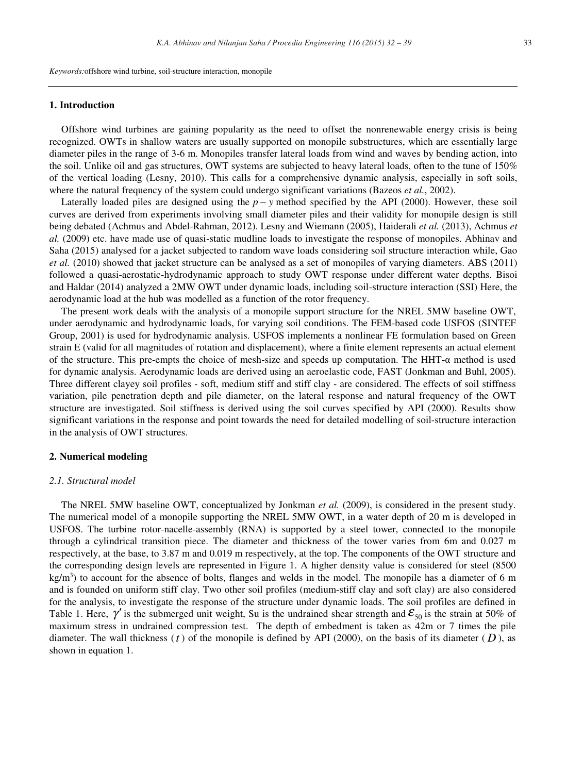*Keywords:*offshore wind turbine, soil-structure interaction, monopile

#### **1. Introduction**

Offshore wind turbines are gaining popularity as the need to offset the nonrenewable energy crisis is being recognized. OWTs in shallow waters are usually supported on monopile substructures, which are essentially large diameter piles in the range of 3-6 m. Monopiles transfer lateral loads from wind and waves by bending action, into the soil. Unlike oil and gas structures, OWT systems are subjected to heavy lateral loads, often to the tune of 150% of the vertical loading (Lesny, 2010). This calls for a comprehensive dynamic analysis, especially in soft soils, where the natural frequency of the system could undergo significant variations (Bazeos *et al.*, 2002).

Laterally loaded piles are designed using the  $p - y$  method specified by the API (2000). However, these soil curves are derived from experiments involving small diameter piles and their validity for monopile design is still being debated (Achmus and Abdel-Rahman, 2012). Lesny and Wiemann (2005), Haiderali *et al.* (2013), Achmus *et al.* (2009) etc. have made use of quasi-static mudline loads to investigate the response of monopiles. Abhinav and Saha (2015) analysed for a jacket subjected to random wave loads considering soil structure interaction while, Gao *et al.* (2010) showed that jacket structure can be analysed as a set of monopiles of varying diameters. ABS (2011) followed a quasi-aerostatic-hydrodynamic approach to study OWT response under different water depths. Bisoi and Haldar (2014) analyzed a 2MW OWT under dynamic loads, including soil-structure interaction (SSI) Here, the aerodynamic load at the hub was modelled as a function of the rotor frequency.

The present work deals with the analysis of a monopile support structure for the NREL 5MW baseline OWT, under aerodynamic and hydrodynamic loads, for varying soil conditions. The FEM-based code USFOS (SINTEF Group, 2001) is used for hydrodynamic analysis. USFOS implements a nonlinear FE formulation based on Green strain E (valid for all magnitudes of rotation and displacement), where a finite element represents an actual element of the structure. This pre-empts the choice of mesh-size and speeds up computation. The HHT-α method is used for dynamic analysis. Aerodynamic loads are derived using an aeroelastic code, FAST (Jonkman and Buhl, 2005). Three different clayey soil profiles - soft, medium stiff and stiff clay - are considered. The effects of soil stiffness variation, pile penetration depth and pile diameter, on the lateral response and natural frequency of the OWT structure are investigated. Soil stiffness is derived using the soil curves specified by API (2000). Results show significant variations in the response and point towards the need for detailed modelling of soil-structure interaction in the analysis of OWT structures.

# **2. Numerical modeling**

#### *2.1. Structural model*

The NREL 5MW baseline OWT, conceptualized by Jonkman *et al.* (2009), is considered in the present study. The numerical model of a monopile supporting the NREL 5MW OWT, in a water depth of 20 m is developed in USFOS. The turbine rotor-nacelle-assembly (RNA) is supported by a steel tower, connected to the monopile through a cylindrical transition piece. The diameter and thickness of the tower varies from 6m and 0.027 m respectively, at the base, to 3.87 m and 0.019 m respectively, at the top. The components of the OWT structure and the corresponding design levels are represented in Figure 1. A higher density value is considered for steel (8500 kg/m<sup>3</sup>) to account for the absence of bolts, flanges and welds in the model. The monopile has a diameter of 6 m and is founded on uniform stiff clay. Two other soil profiles (medium-stiff clay and soft clay) are also considered for the analysis, to investigate the response of the structure under dynamic loads. The soil profiles are defined in Table 1. Here,  $\gamma'$  is the submerged unit weight, Su is the undrained shear strength and  $\mathcal{E}_{50}$  is the strain at 50% of maximum stress in undrained compression test. The depth of embedment is taken as 42m or 7 times the pile diameter. The wall thickness ( $t$ ) of the monopile is defined by API (2000), on the basis of its diameter ( $D$ ), as shown in equation 1.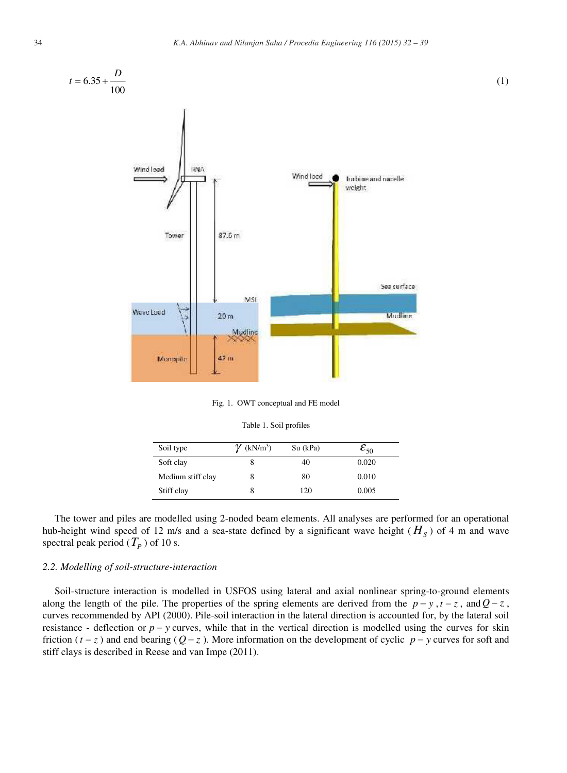

Fig. 1. OWT conceptual and FE model

|  |  |  | Table 1. Soil profiles |
|--|--|--|------------------------|
|--|--|--|------------------------|

| Soil type         | $\gamma$ (kN/m <sup>3</sup> ) | $Su$ (kPa) | $\mathcal{E}_{50}$ |
|-------------------|-------------------------------|------------|--------------------|
| Soft clay         | 8                             | 40         | 0.020              |
| Medium stiff clay | 8                             | 80         | 0.010              |
| Stiff clay        | 8                             | 120        | 0.005              |

The tower and piles are modelled using 2-noded beam elements. All analyses are performed for an operational hub-height wind speed of 12 m/s and a sea-state defined by a significant wave height ( $H<sub>S</sub>$ ) of 4 m and wave spectral peak period ( $T_p$ ) of 10 s.

# *2.2. Modelling of soil-structure-interaction*

Soil-structure interaction is modelled in USFOS using lateral and axial nonlinear spring-to-ground elements along the length of the pile. The properties of the spring elements are derived from the  $p - y$ ,  $t - z$ , and  $Q - z$ , curves recommended by API (2000). Pile-soil interaction in the lateral direction is accounted for, by the lateral soil resistance - deflection or  $p - y$  curves, while that in the vertical direction is modelled using the curves for skin friction  $(t-z)$  and end bearing  $(Q-z)$ . More information on the development of cyclic  $p-y$  curves for soft and stiff clays is described in Reese and van Impe (2011).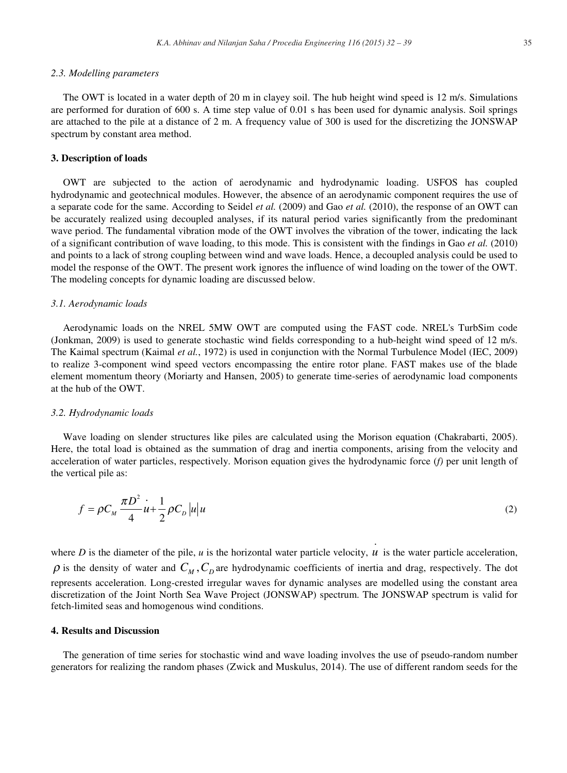#### *2.3. Modelling parameters*

The OWT is located in a water depth of 20 m in clayey soil. The hub height wind speed is 12 m/s. Simulations are performed for duration of 600 s. A time step value of 0.01 s has been used for dynamic analysis. Soil springs are attached to the pile at a distance of 2 m. A frequency value of 300 is used for the discretizing the JONSWAP spectrum by constant area method.

# **3. Description of loads**

OWT are subjected to the action of aerodynamic and hydrodynamic loading. USFOS has coupled hydrodynamic and geotechnical modules. However, the absence of an aerodynamic component requires the use of a separate code for the same. According to Seidel *et al.* (2009) and Gao *et al.* (2010), the response of an OWT can be accurately realized using decoupled analyses, if its natural period varies significantly from the predominant wave period. The fundamental vibration mode of the OWT involves the vibration of the tower, indicating the lack of a significant contribution of wave loading, to this mode. This is consistent with the findings in Gao *et al.* (2010) and points to a lack of strong coupling between wind and wave loads. Hence, a decoupled analysis could be used to model the response of the OWT. The present work ignores the influence of wind loading on the tower of the OWT. The modeling concepts for dynamic loading are discussed below.

## *3.1. Aerodynamic loads*

Aerodynamic loads on the NREL 5MW OWT are computed using the FAST code. NREL's TurbSim code (Jonkman, 2009) is used to generate stochastic wind fields corresponding to a hub-height wind speed of 12 m/s. The Kaimal spectrum (Kaimal *et al.*, 1972) is used in conjunction with the Normal Turbulence Model (IEC, 2009) to realize 3-component wind speed vectors encompassing the entire rotor plane. FAST makes use of the blade element momentum theory (Moriarty and Hansen, 2005) to generate time-series of aerodynamic load components at the hub of the OWT.

#### *3.2. Hydrodynamic loads*

Wave loading on slender structures like piles are calculated using the Morison equation (Chakrabarti, 2005). Here, the total load is obtained as the summation of drag and inertia components, arising from the velocity and acceleration of water particles, respectively. Morison equation gives the hydrodynamic force (*f)* per unit length of the vertical pile as:

$$
f = \rho C_M \frac{\pi D^2}{4} u + \frac{1}{2} \rho C_D |u| u
$$
 (2)

.

where  $D$  is the diameter of the pile,  $u$  is the horizontal water particle velocity,  $u$  is the water particle acceleration,  $\rho$  is the density of water and  $C_M$ ,  $C_D$  are hydrodynamic coefficients of inertia and drag, respectively. The dot represents acceleration. Long-crested irregular waves for dynamic analyses are modelled using the constant area discretization of the Joint North Sea Wave Project (JONSWAP) spectrum. The JONSWAP spectrum is valid for fetch-limited seas and homogenous wind conditions.

#### **4. Results and Discussion**

The generation of time series for stochastic wind and wave loading involves the use of pseudo-random number generators for realizing the random phases (Zwick and Muskulus, 2014). The use of different random seeds for the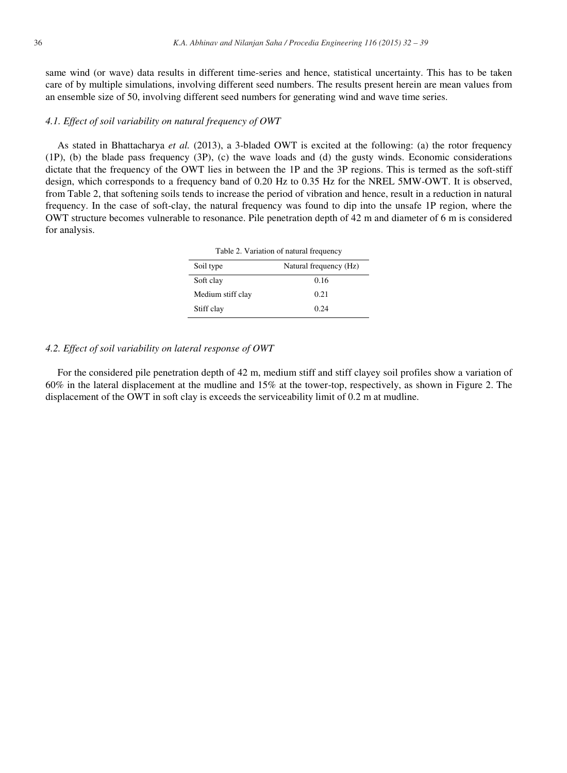same wind (or wave) data results in different time-series and hence, statistical uncertainty. This has to be taken care of by multiple simulations, involving different seed numbers. The results present herein are mean values from an ensemble size of 50, involving different seed numbers for generating wind and wave time series.

#### *4.1. Effect of soil variability on natural frequency of OWT*

As stated in Bhattacharya *et al.* (2013), a 3-bladed OWT is excited at the following: (a) the rotor frequency (1P), (b) the blade pass frequency (3P), (c) the wave loads and (d) the gusty winds. Economic considerations dictate that the frequency of the OWT lies in between the 1P and the 3P regions. This is termed as the soft-stiff design, which corresponds to a frequency band of 0.20 Hz to 0.35 Hz for the NREL 5MW-OWT. It is observed, from Table 2, that softening soils tends to increase the period of vibration and hence, result in a reduction in natural frequency. In the case of soft-clay, the natural frequency was found to dip into the unsafe 1P region, where the OWT structure becomes vulnerable to resonance. Pile penetration depth of 42 m and diameter of 6 m is considered for analysis.

| Table 2. Variation of natural frequency |                        |  |  |
|-----------------------------------------|------------------------|--|--|
| Soil type                               | Natural frequency (Hz) |  |  |
| Soft clay                               | 0.16                   |  |  |
| Medium stiff clay                       | 0.21                   |  |  |
| Stiff clay                              | 0.24                   |  |  |

#### *4.2. Effect of soil variability on lateral response of OWT*

For the considered pile penetration depth of 42 m, medium stiff and stiff clayey soil profiles show a variation of 60% in the lateral displacement at the mudline and 15% at the tower-top, respectively, as shown in Figure 2. The displacement of the OWT in soft clay is exceeds the serviceability limit of 0.2 m at mudline.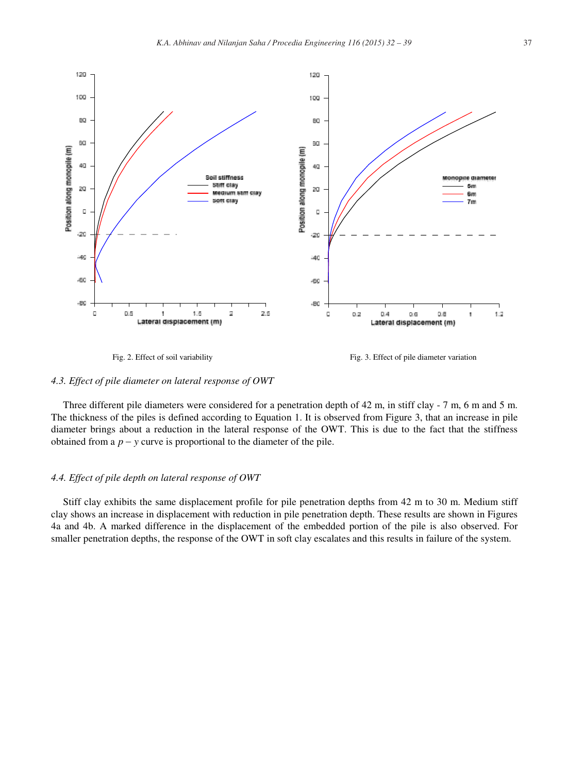

Fig. 2. Effect of soil variability Fig. 3. Effect of pile diameter variation

#### *4.3. Effect of pile diameter on lateral response of OWT*

Three different pile diameters were considered for a penetration depth of 42 m, in stiff clay - 7 m, 6 m and 5 m. The thickness of the piles is defined according to Equation 1. It is observed from Figure 3, that an increase in pile diameter brings about a reduction in the lateral response of the OWT. This is due to the fact that the stiffness obtained from a  $p - y$  curve is proportional to the diameter of the pile.

#### *4.4. Effect of pile depth on lateral response of OWT*

Stiff clay exhibits the same displacement profile for pile penetration depths from 42 m to 30 m. Medium stiff clay shows an increase in displacement with reduction in pile penetration depth. These results are shown in Figures 4a and 4b. A marked difference in the displacement of the embedded portion of the pile is also observed. For smaller penetration depths, the response of the OWT in soft clay escalates and this results in failure of the system.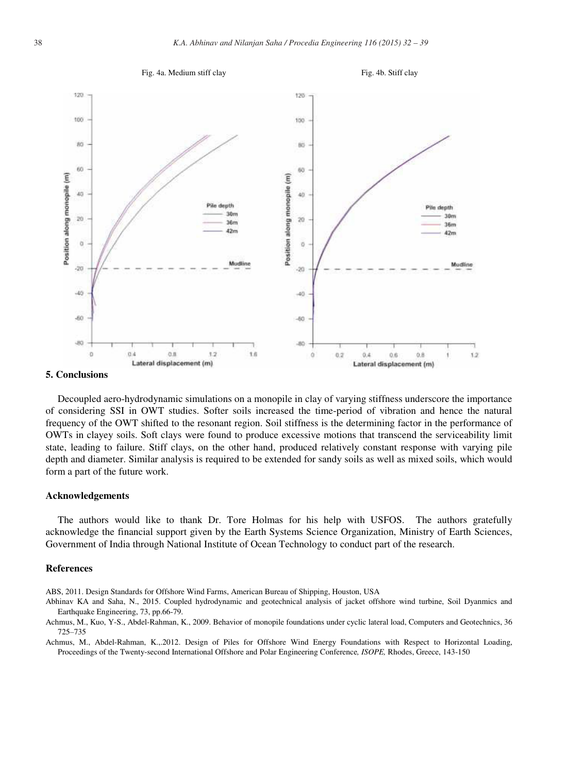

#### **5. Conclusions**

Decoupled aero-hydrodynamic simulations on a monopile in clay of varying stiffness underscore the importance of considering SSI in OWT studies. Softer soils increased the time-period of vibration and hence the natural frequency of the OWT shifted to the resonant region. Soil stiffness is the determining factor in the performance of OWTs in clayey soils. Soft clays were found to produce excessive motions that transcend the serviceability limit state, leading to failure. Stiff clays, on the other hand, produced relatively constant response with varying pile depth and diameter. Similar analysis is required to be extended for sandy soils as well as mixed soils, which would form a part of the future work.

#### **Acknowledgements**

The authors would like to thank Dr. Tore Holmas for his help with USFOS. The authors gratefully acknowledge the financial support given by the Earth Systems Science Organization, Ministry of Earth Sciences, Government of India through National Institute of Ocean Technology to conduct part of the research.

#### **References**

ABS, 2011. Design Standards for Offshore Wind Farms, American Bureau of Shipping, Houston, USA

- Abhinav KA and Saha, N., 2015. Coupled hydrodynamic and geotechnical analysis of jacket offshore wind turbine, Soil Dyanmics and Earthquake Engineering, 73, pp.66-79.
- Achmus, M., Kuo, Y-S., Abdel-Rahman, K., 2009. Behavior of monopile foundations under cyclic lateral load, Computers and Geotechnics, 36 725–735

Achmus, M., Abdel-Rahman, K.,.2012. Design of Piles for Offshore Wind Energy Foundations with Respect to Horizontal Loading, Proceedings of the Twenty-second International Offshore and Polar Engineering Conference*, ISOPE,* Rhodes, Greece, 143-150